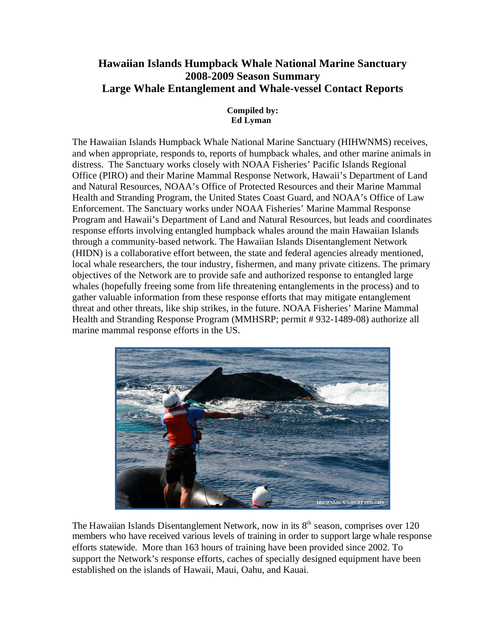# **Hawaiian Islands Humpback Whale National Marine Sanctuary 2008-2009 Season Summary Large Whale Entanglement and Whale-vessel Contact Reports**

#### **Compiled by: Ed Lyman**

The Hawaiian Islands Humpback Whale National Marine Sanctuary (HIHWNMS) receives, and when appropriate, responds to, reports of humpback whales, and other marine animals in distress. The Sanctuary works closely with NOAA Fisheries' Pacific Islands Regional Office (PIRO) and their Marine Mammal Response Network, Hawaii's Department of Land and Natural Resources, NOAA's Office of Protected Resources and their Marine Mammal Health and Stranding Program, the United States Coast Guard, and NOAA's Office of Law Enforcement. The Sanctuary works under NOAA Fisheries' Marine Mammal Response Program and Hawaii's Department of Land and Natural Resources, but leads and coordinates response efforts involving entangled humpback whales around the main Hawaiian Islands through a community-based network. The Hawaiian Islands Disentanglement Network (HIDN) is a collaborative effort between, the state and federal agencies already mentioned, local whale researchers, the tour industry, fishermen, and many private citizens. The primary objectives of the Network are to provide safe and authorized response to entangled large whales (hopefully freeing some from life threatening entanglements in the process) and to gather valuable information from these response efforts that may mitigate entanglement threat and other threats, like ship strikes, in the future. NOAA Fisheries' Marine Mammal Health and Stranding Response Program (MMHSRP; permit # 932-1489-08) authorize all marine mammal response efforts in the US.



 established on the islands of Hawaii, Maui, Oahu, and Kauai. The Hawaiian Islands Disentanglement Network, now in its  $8<sup>th</sup>$  season, comprises over 120 members who have received various levels of training in order to support large whale response efforts statewide. More than 163 hours of training have been provided since 2002. To support the Network's response efforts, caches of specially designed equipment have been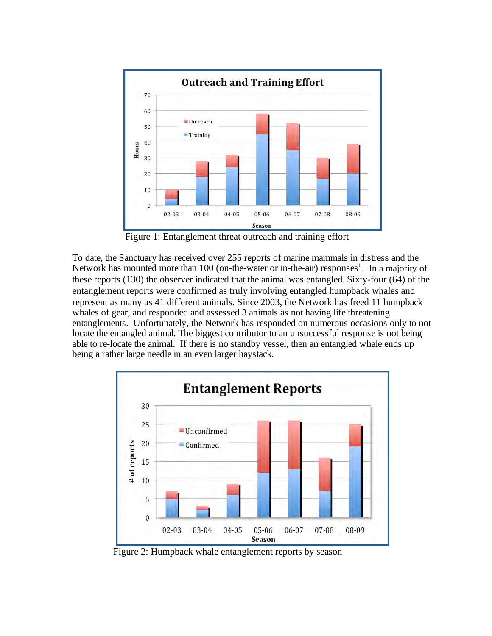

Figure 1: Entanglement threat outreach and training effort

To date, the Sanctuary has received over 255 reports of marine mammals in distress and the Network has mounted more than 100 (on-the-water or in-the-air) responses<sup>1</sup>. In a majority of these reports (130) the observer indicated that the animal was entangled. Sixty-four (64) of the entanglement reports were confirmed as truly involving entangled humpback whales and represent as many as 41 different animals. Since 2003, the Network has freed 11 humpback whales of gear, and responded and assessed 3 animals as not having life threatening entanglements. Unfortunately, the Network has responded on numerous occasions only to not locate the entangled animal. The biggest contributor to an unsuccessful response is not being able to re-locate the animal. If there is no standby vessel, then an entangled whale ends up being a rather large needle in an even larger haystack.



Figure 2: Humpback whale entanglement reports by season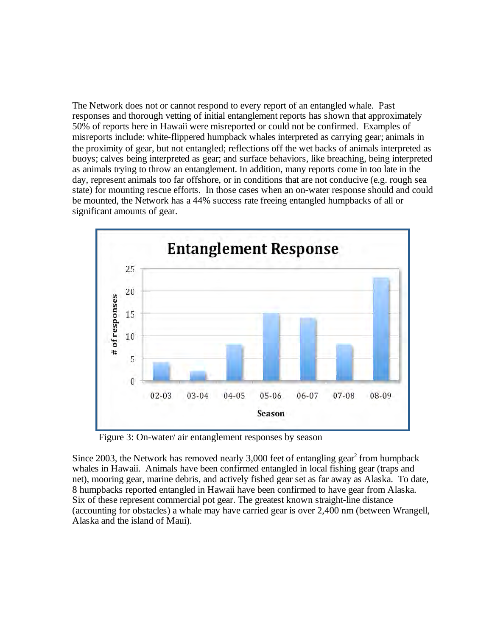The Network does not or cannot respond to every report of an entangled whale. Past responses and thorough vetting of initial entanglement reports has shown that approximately 50% of reports here in Hawaii were misreported or could not be confirmed. Examples of misreports include: white-flippered humpback whales interpreted as carrying gear; animals in the proximity of gear, but not entangled; reflections off the wet backs of animals interpreted as buoys; calves being interpreted as gear; and surface behaviors, like breaching, being interpreted as animals trying to throw an entanglement. In addition, many reports come in too late in the day, represent animals too far offshore, or in conditions that are not conducive (e.g. rough sea state) for mounting rescue efforts. In those cases when an on-water response should and could be mounted, the Network has a 44% success rate freeing entangled humpbacks of all or significant amounts of gear.



Figure 3: On-water/ air entanglement responses by season

Since 2003, the Network has removed nearly  $3,000$  feet of entangling gear<sup>2</sup> from humpback whales in Hawaii. Animals have been confirmed entangled in local fishing gear (traps and net), mooring gear, marine debris, and actively fished gear set as far away as Alaska. To date, 8 humpbacks reported entangled in Hawaii have been confirmed to have gear from Alaska. Six of these represent commercial pot gear. The greatest known straight-line distance (accounting for obstacles) a whale may have carried gear is over 2,400 nm (between Wrangell, Alaska and the island of Maui).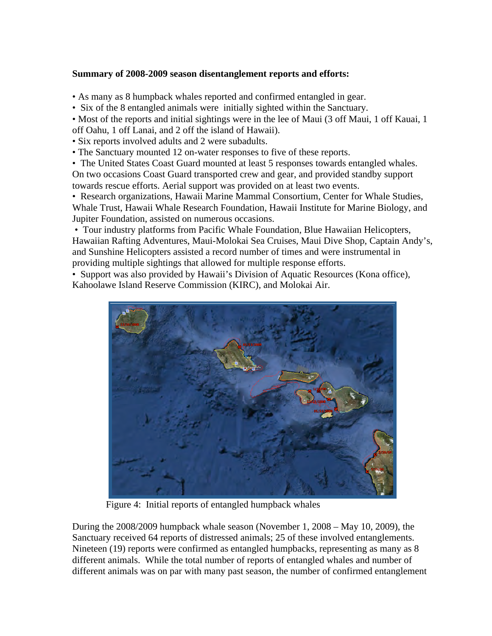#### **Summary of 2008-2009 season disentanglement reports and efforts:**

• As many as 8 humpback whales reported and confirmed entangled in gear.

• Six of the 8 entangled animals were initially sighted within the Sanctuary.

• Most of the reports and initial sightings were in the lee of Maui (3 off Maui, 1 off Kauai, 1 off Oahu, 1 off Lanai, and 2 off the island of Hawaii).

• Six reports involved adults and 2 were subadults.

• The Sanctuary mounted 12 on-water responses to five of these reports.

• The United States Coast Guard mounted at least 5 responses towards entangled whales. On two occasions Coast Guard transported crew and gear, and provided standby support towards rescue efforts. Aerial support was provided on at least two events.

• Research organizations, Hawaii Marine Mammal Consortium, Center for Whale Studies, Whale Trust, Hawaii Whale Research Foundation, Hawaii Institute for Marine Biology, and Jupiter Foundation, assisted on numerous occasions.

 • Tour industry platforms from Pacific Whale Foundation, Blue Hawaiian Helicopters, Hawaiian Rafting Adventures, Maui-Molokai Sea Cruises, Maui Dive Shop, Captain Andy's, and Sunshine Helicopters assisted a record number of times and were instrumental in providing multiple sightings that allowed for multiple response efforts.

• Support was also provided by Hawaii's Division of Aquatic Resources (Kona office), Kahoolawe Island Reserve Commission (KIRC), and Molokai Air.



Figure 4: Initial reports of entangled humpback whales

During the 2008/2009 humpback whale season (November 1, 2008 – May 10, 2009), the Sanctuary received 64 reports of distressed animals; 25 of these involved entanglements. Nineteen (19) reports were confirmed as entangled humpbacks, representing as many as 8 different animals. While the total number of reports of entangled whales and number of different animals was on par with many past season, the number of confirmed entanglement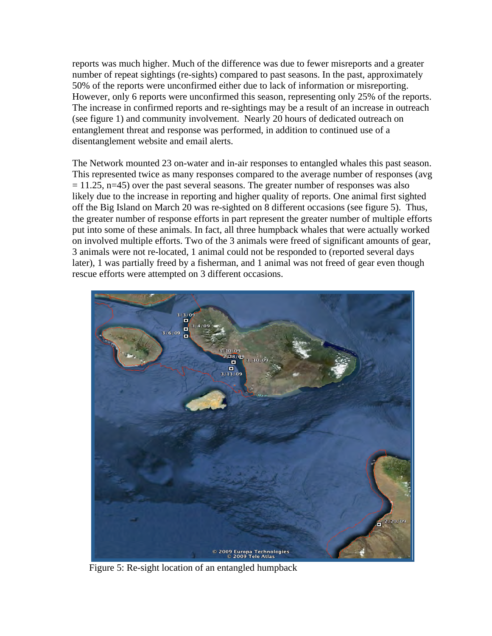reports was much higher. Much of the difference was due to fewer misreports and a greater number of repeat sightings (re-sights) compared to past seasons. In the past, approximately 50% of the reports were unconfirmed either due to lack of information or misreporting. However, only 6 reports were unconfirmed this season, representing only 25% of the reports. The increase in confirmed reports and re-sightings may be a result of an increase in outreach (see figure 1) and community involvement. Nearly 20 hours of dedicated outreach on entanglement threat and response was performed, in addition to continued use of a disentanglement website and email alerts.

The Network mounted 23 on-water and in-air responses to entangled whales this past season. This represented twice as many responses compared to the average number of responses (avg  $= 11.25$ , n=45) over the past several seasons. The greater number of responses was also likely due to the increase in reporting and higher quality of reports. One animal first sighted off the Big Island on March 20 was re-sighted on 8 different occasions (see figure 5). Thus, the greater number of response efforts in part represent the greater number of multiple efforts put into some of these animals. In fact, all three humpback whales that were actually worked on involved multiple efforts. Two of the 3 animals were freed of significant amounts of gear, 3 animals were not re-located, 1 animal could not be responded to (reported several days later), 1 was partially freed by a fisherman, and 1 animal was not freed of gear even though rescue efforts were attempted on 3 different occasions.



Figure 5: Re-sight location of an entangled humpback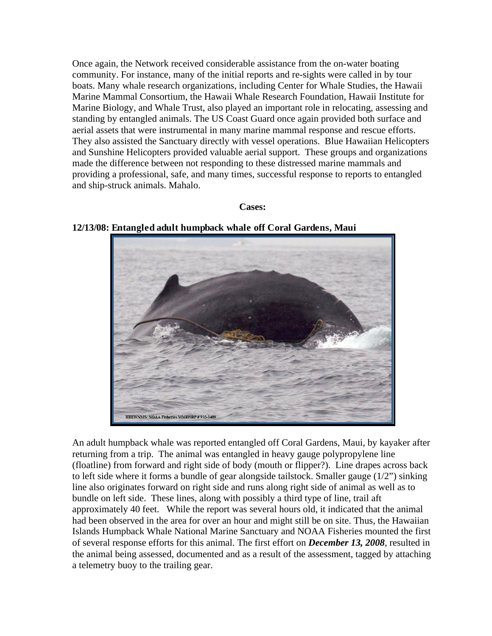Once again, the Network received considerable assistance from the on-water boating community. For instance, many of the initial reports and re-sights were called in by tour boats. Many whale research organizations, including Center for Whale Studies, the Hawaii Marine Mammal Consortium, the Hawaii Whale Research Foundation, Hawaii Institute for Marine Biology, and Whale Trust, also played an important role in relocating, assessing and standing by entangled animals. The US Coast Guard once again provided both surface and aerial assets that were instrumental in many marine mammal response and rescue efforts. They also assisted the Sanctuary directly with vessel operations. Blue Hawaiian Helicopters and Sunshine Helicopters provided valuable aerial support. These groups and organizations made the difference between not responding to these distressed marine mammals and providing a professional, safe, and many times, successful response to reports to entangled and ship-struck animals. Mahalo.

#### **Cases:**

**12/13/08: Entangled adult humpback whale off Coral Gardens, Maui** 



An adult humpback whale was reported entangled off Coral Gardens, Maui, by kayaker after returning from a trip. The animal was entangled in heavy gauge polypropylene line (floatline) from forward and right side of body (mouth or flipper?). Line drapes across back to left side where it forms a bundle of gear alongside tailstock. Smaller gauge (1/2") sinking line also originates forward on right side and runs along right side of animal as well as to bundle on left side. These lines, along with possibly a third type of line, trail aft approximately 40 feet. While the report was several hours old, it indicated that the animal had been observed in the area for over an hour and might still be on site. Thus, the Hawaiian Islands Humpback Whale National Marine Sanctuary and NOAA Fisheries mounted the first of several response efforts for this animal. The first effort on *December 13, 2008*, resulted in the animal being assessed, documented and as a result of the assessment, tagged by attaching a telemetry buoy to the trailing gear.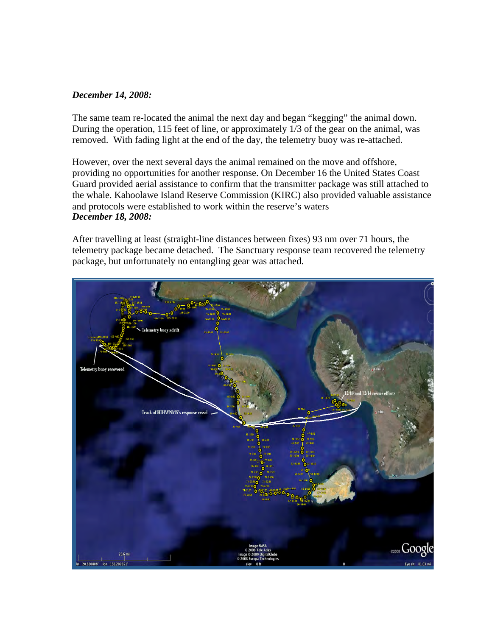#### *December 14, 2008:*

The same team re-located the animal the next day and began "kegging" the animal down. During the operation, 115 feet of line, or approximately 1/3 of the gear on the animal, was removed. With fading light at the end of the day, the telemetry buoy was re-attached.

However, over the next several days the animal remained on the move and offshore, providing no opportunities for another response. On December 16 the United States Coast Guard provided aerial assistance to confirm that the transmitter package was still attached to the whale. Kahoolawe Island Reserve Commission (KIRC) also provided valuable assistance and protocols were established to work within the reserve's waters *December 18, 2008:* 

After travelling at least (straight-line distances between fixes) 93 nm over 71 hours, the telemetry package became detached. The Sanctuary response team recovered the telemetry package, but unfortunately no entangling gear was attached.

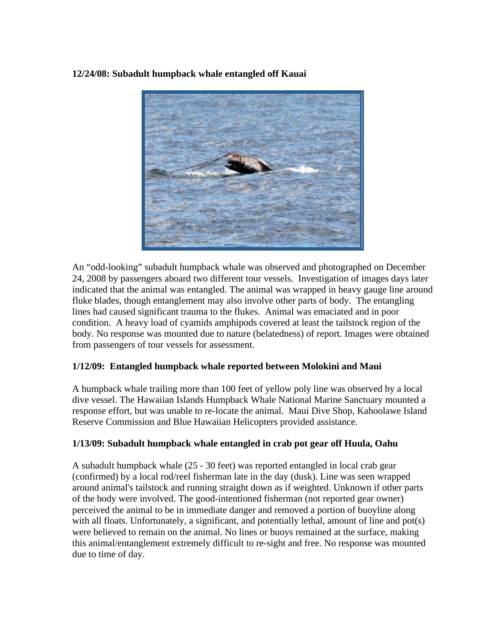#### **12/24/08: Subadult humpback whale entangled off Kauai**



An "odd-looking" subadult humpback whale was observed and photographed on December 24, 2008 by passengers aboard two different tour vessels. Investigation of images days later indicated that the animal was entangled. The animal was wrapped in heavy gauge line around fluke blades, though entanglement may also involve other parts of body. The entangling lines had caused significant trauma to the flukes. Animal was emaciated and in poor condition. A heavy load of cyamids amphipods covered at least the tailstock region of the body. No response was mounted due to nature (belatedness) of report. Images were obtained from passengers of tour vessels for assessment.

#### **1/12/09: Entangled humpback whale reported between Molokini and Maui**

A humpback whale trailing more than 100 feet of yellow poly line was observed by a local dive vessel. The Hawaiian Islands Humpback Whale National Marine Sanctuary mounted a response effort, but was unable to re-locate the animal. Maui Dive Shop, Kahoolawe Island Reserve Commission and Blue Hawaiian Helicopters provided assistance.

#### **1/13/09: Subadult humpback whale entangled in crab pot gear off Huula, Oahu**

A subadult humpback whale (25 - 30 feet) was reported entangled in local crab gear (confirmed) by a local rod/reel fisherman late in the day (dusk). Line was seen wrapped around animal's tailstock and running straight down as if weighted. Unknown if other parts of the body were involved. The good-intentioned fisherman (not reported gear owner) perceived the animal to be in immediate danger and removed a portion of buoyline along with all floats. Unfortunately, a significant, and potentially lethal, amount of line and pot(s) were believed to remain on the animal. No lines or buoys remained at the surface, making this animal/entanglement extremely difficult to re-sight and free. No response was mounted due to time of day.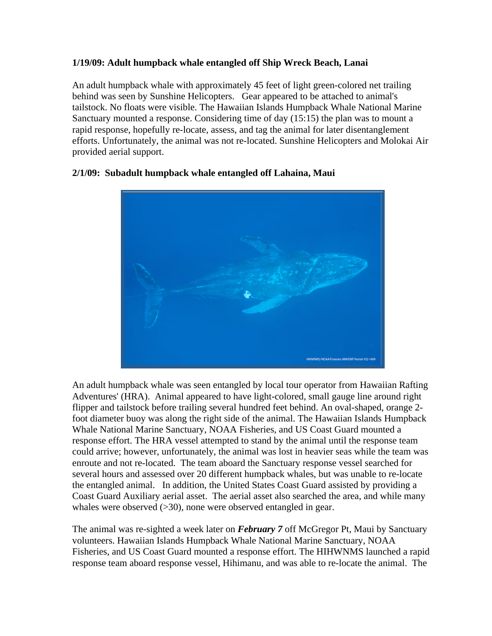## **1/19/09: Adult humpback whale entangled off Ship Wreck Beach, Lanai**

An adult humpback whale with approximately 45 feet of light green-colored net trailing behind was seen by Sunshine Helicopters. Gear appeared to be attached to animal's tailstock. No floats were visible. The Hawaiian Islands Humpback Whale National Marine Sanctuary mounted a response. Considering time of day (15:15) the plan was to mount a rapid response, hopefully re-locate, assess, and tag the animal for later disentanglement efforts. Unfortunately, the animal was not re-located. Sunshine Helicopters and Molokai Air provided aerial support.



## **2/1/09: Subadult humpback whale entangled off Lahaina, Maui**

whales were observed  $(>30)$ , none were observed entangled in gear. An adult humpback whale was seen entangled by local tour operator from Hawaiian Rafting Adventures' (HRA). Animal appeared to have light-colored, small gauge line around right flipper and tailstock before trailing several hundred feet behind. An oval-shaped, orange 2 foot diameter buoy was along the right side of the animal. The Hawaiian Islands Humpback Whale National Marine Sanctuary, NOAA Fisheries, and US Coast Guard mounted a response effort. The HRA vessel attempted to stand by the animal until the response team could arrive; however, unfortunately, the animal was lost in heavier seas while the team was enroute and not re-located. The team aboard the Sanctuary response vessel searched for several hours and assessed over 20 different humpback whales, but was unable to re-locate the entangled animal. In addition, the United States Coast Guard assisted by providing a Coast Guard Auxiliary aerial asset. The aerial asset also searched the area, and while many

The animal was re-sighted a week later on *February* 7 off McGregor Pt, Maui by Sanctuary volunteers. Hawaiian Islands Humpback Whale National Marine Sanctuary, NOAA Fisheries, and US Coast Guard mounted a response effort. The HIHWNMS launched a rapid response team aboard response vessel, Hihimanu, and was able to re-locate the animal. The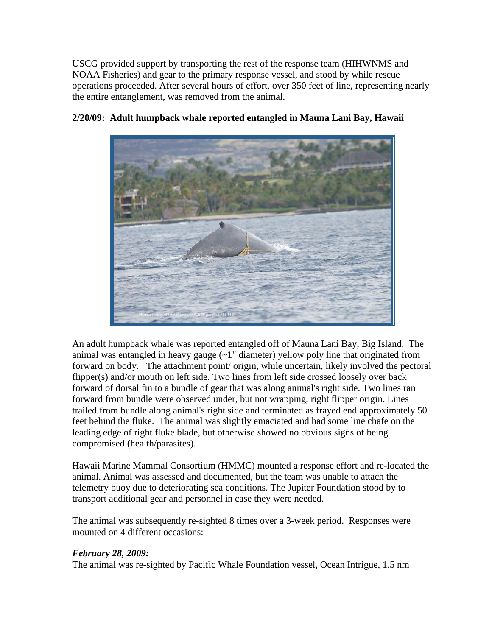USCG provided support by transporting the rest of the response team (HIHWNMS and NOAA Fisheries) and gear to the primary response vessel, and stood by while rescue operations proceeded. After several hours of effort, over 350 feet of line, representing nearly the entire entanglement, was removed from the animal.



## **2/20/09: Adult humpback whale reported entangled in Mauna Lani Bay, Hawaii**

An adult humpback whale was reported entangled off of Mauna Lani Bay, Big Island. The animal was entangled in heavy gauge  $(-1)$  diameter) yellow poly line that originated from forward on body. The attachment point/ origin, while uncertain, likely involved the pectoral flipper(s) and/or mouth on left side. Two lines from left side crossed loosely over back forward of dorsal fin to a bundle of gear that was along animal's right side. Two lines ran forward from bundle were observed under, but not wrapping, right flipper origin. Lines trailed from bundle along animal's right side and terminated as frayed end approximately 50 feet behind the fluke. The animal was slightly emaciated and had some line chafe on the leading edge of right fluke blade, but otherwise showed no obvious signs of being compromised (health/parasites).

Hawaii Marine Mammal Consortium (HMMC) mounted a response effort and re-located the animal. Animal was assessed and documented, but the team was unable to attach the telemetry buoy due to deteriorating sea conditions. The Jupiter Foundation stood by to transport additional gear and personnel in case they were needed.

The animal was subsequently re-sighted 8 times over a 3-week period. Responses were mounted on 4 different occasions:

#### *February 28, 2009:*

The animal was re-sighted by Pacific Whale Foundation vessel, Ocean Intrigue, 1.5 nm